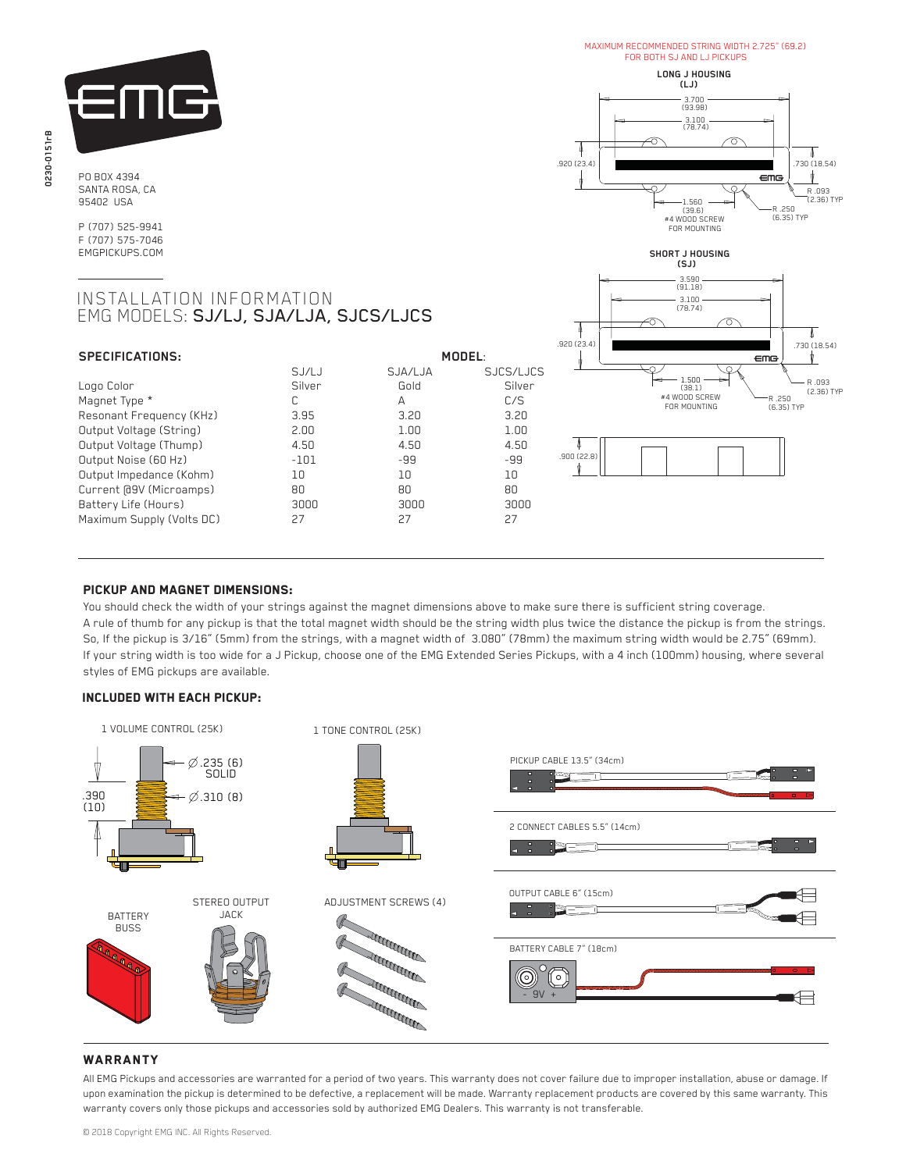

PO BOX 4394 SANTA ROSA, CA 95402 USA

P (707) 525-9941 F (707) 575-7046 EMGPICKUPS.COM

# INSTALLATION INFORMATION EMG MODELS: SJ/LJ, SJA/LJA, SJCS/LJCS

| SPECIFICATIONS:           |        | MODEL   |           |
|---------------------------|--------|---------|-----------|
|                           | SJ/LJ  | SJA/LJA | SJCS/LJCS |
| Logo Color                | Silver | Gold    | Silver    |
| Magnet Type *             | C      | А       | C/S       |
| Resonant Frequency (KHz)  | 3.95   | 3.20    | 3.20      |
| Output Voltage (String)   | 2.00   | 1.00    | 1.00      |
| Output Voltage (Thump)    | 4.50   | 4.50    | 4.50      |
| Output Noise (60 Hz)      | $-101$ | -99     | $-99$     |
| Output Impedance (Kohm)   | 10     | 10      | 10        |
| Current [09V (Microamps)  | 80     | RΠ      | 80        |
| Battery Life (Hours)      | 3000   | annn    | 3000      |
| Maximum Supply (Volts DC) | 27     | 27      | 27        |

## 3.100 (78.74)  $.920 (23.4)$  .730 (18.54) eme 1.560 (39.6) R .250 (6.35) TYP #4 WOOD SCREW FOR MOUNTING **SHORT J HOUSING (SJ)** 3.590 (91.18) 3.100 (78.74) .920 (23.4) ems 1.500 (38.1)



**LONG J HOUSING (LJ)**

MAXIMUM RECOMMENDED STRING WIDTH 2.725" (69.2) FOR BOTH SJ AND LJ PICKUPS

3.700

(93.98)

R .093

.730 (18.54)

**₩** 

 $\overline{\mathbb{I}}$ 

R .093 (2.36) TYP

≬

4

## PICKUP AND MAGNET DIMENSIONS:

You should check the width of your strings against the magnet dimensions above to make sure there is sufficient string coverage. A rule of thumb for any pickup is that the total magnet width should be the string width plus twice the distance the pickup is from the strings. So, If the pickup is 3/16" (5mm) from the strings, with a magnet width of 3.080" (78mm) the maximum string width would be 2.75" (69mm). If your string width is too wide for a J Pickup, choose one of the EMG Extended Series Pickups, with a 4 inch (100mm) housing, where several styles of EMG pickups are available.

## Included with each pickup:



## **WARRANTY**

All EMG Pickups and accessories are warranted for a period of two years. This warranty does not cover failure due to improper installation, abuse or damage. If upon examination the pickup is determined to be defective, a replacement will be made. Warranty replacement products are covered by this same warranty. This warranty covers only those pickups and accessories sold by authorized EMG Dealers. This warranty is not transferable.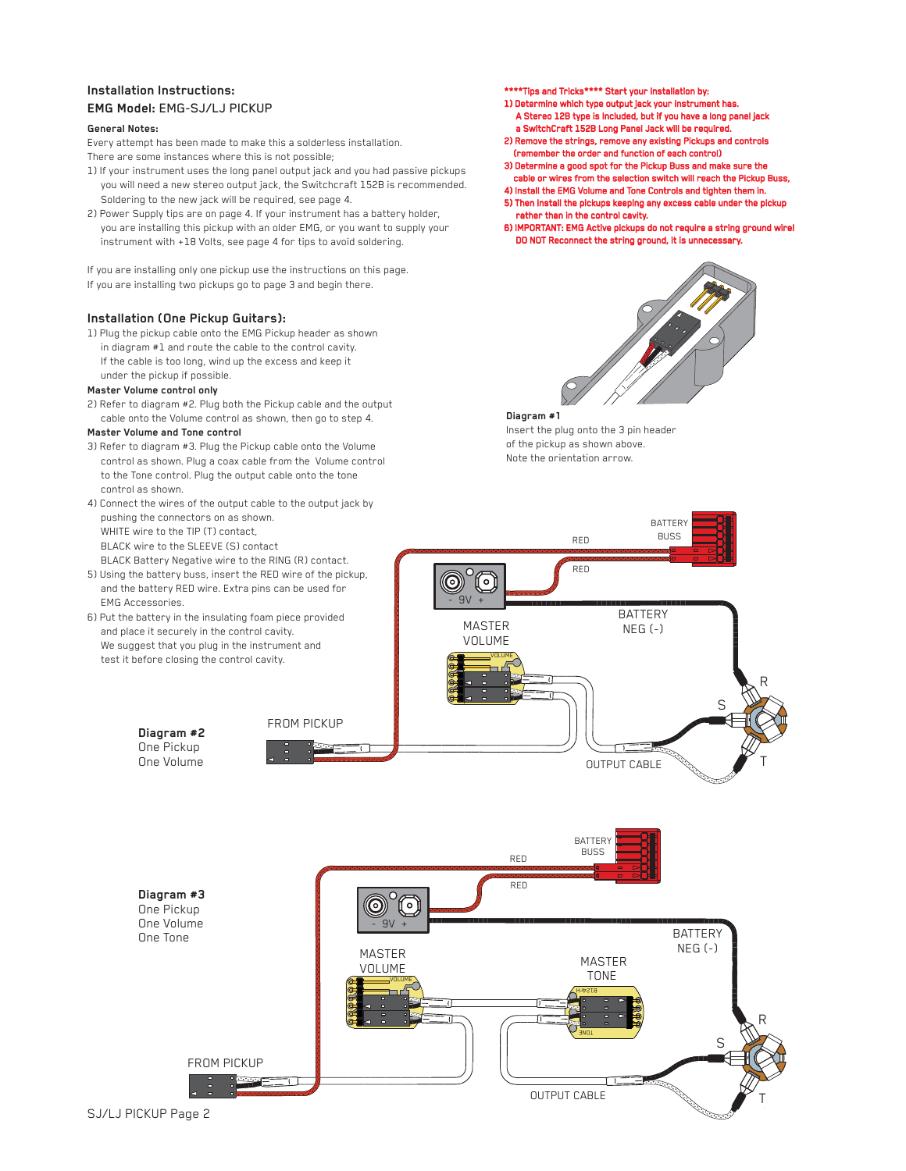## **Installation Instructions: EMG Model:** EMG-SJ/LJ PICKUP

### **General Notes:**

Every attempt has been made to make this a solderless installation. There are some instances where this is not possible;

- 1) If your instrument uses the long panel output jack and you had passive pickups you will need a new stereo output jack, the Switchcraft 152B is recommended. Soldering to the new jack will be required, see page 4.
- 2) Power Supply tips are on page 4. If your instrument has a battery holder, you are installing this pickup with an older EMG, or you want to supply your instrument with +18 Volts, see page 4 for tips to avoid soldering.

If you are installing only one pickup use the instructions on this page. If you are installing two pickups go to page 3 and begin there.

## **Installation (One Pickup Guitars):**

1) Plug the pickup cable onto the EMG Pickup header as shown in diagram #1 and route the cable to the control cavity. If the cable is too long, wind up the excess and keep it under the pickup if possible.

## **Master Volume control only**

2) Refer to diagram #2. Plug both the Pickup cable and the output cable onto the Volume control as shown, then go to step 4.

### **Master Volume and Tone control**

- 3) Refer to diagram #3. Plug the Pickup cable onto the Volume control as shown. Plug a coax cable from the Volume control to the Tone control. Plug the output cable onto the tone control as shown.
- 4) Connect the wires of the output cable to the output jack by pushing the connectors on as shown. WHITE wire to the TIP (T) contact, BLACK wire to the SLEEVE (S) contact BLACK Battery Negative wire to the RING (R) contact.
- 5) Using the battery buss, insert the RED wire of the pickup, and the battery RED wire. Extra pins can be used for EMG Accessories.
- 6) Put the battery in the insulating foam piece provided and place it securely in the control cavity. We suggest that you plug in the instrument and test it before closing the control cavity.
- \*Tips and Tricks\*\*\*\* Start your installation by:
- 1) Determine which type output jack your instrument has. A Stereo 12B type is Included, but if you have a long panel jack a SwitchCraft 152B Long Panel Jack will be required.
- 2) Remove the strings, remove any existing Pickups and controls (remember the order and function of each control)
- 3) Determine a good spot for the Pickup Buss and make sure the cable or wires from the selection switch will reach the Pickup Buss,
- 4) Install the EMG Volume and Tone Controls and tighten them in.
- 5) Then install the pickups keeping any excess cable under the pickup rather than in the control cavity.
- 6) IMPORTANT: EMG Active pickups do not require a string ground wire! DO NOT Reconnect the string ground, it is unnecessary.



**BATTERY** BUSS

#### **Diagram #1**

Insert the plug onto the 3 pin header of the pickup as shown above. Note the orientation arrow.

RED

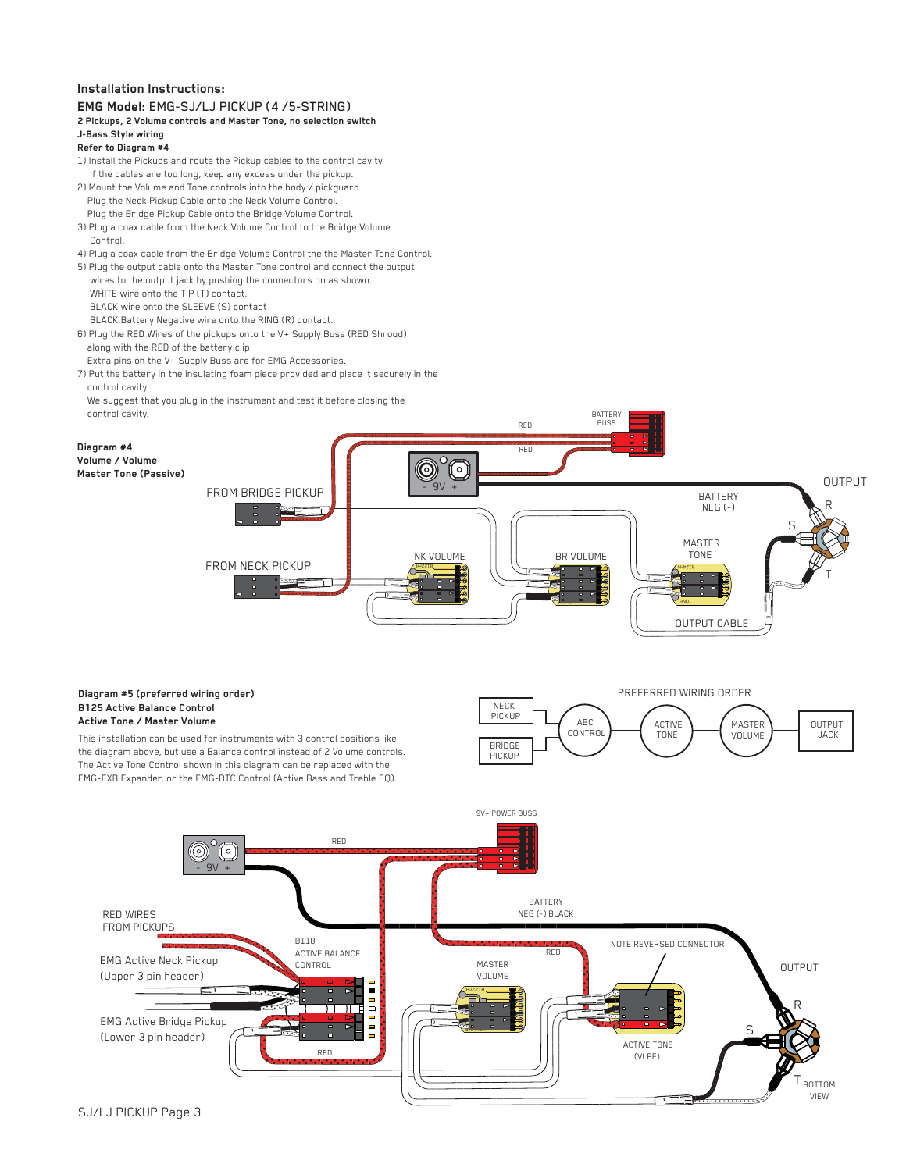## **Installation Instructions:**

#### **EMG Model:** EMG-SJ/LJ PICKUP (4 /5-STRING)**2 Pickups, 2 Volume controls and Master Tone, no selection switch J-Bass Style wiring Refer to Diagram #4**  1) Install the Pickups and route the Pickup cables to the control cavity. If the cables are too long, keep any excess under the pickup. 2) Mount the Volume and Tone controls into the body / pickguard. Plug the Neck Pickup Cable onto the Neck Volume Control. Plug the Bridge Pickup Cable onto the Bridge Volume Control. 3) Plug a coax cable from the Neck Volume Control to the Bridge Volume Control. 4) Plug a coax cable from the Bridge Volume Control the the Master Tone Control. 5) Plug the output cable onto the Master Tone control and connect the output wires to the output jack by pushing the connectors on as shown. WHITE wire onto the TIP (T) contact, BLACK wire onto the SLEEVE (S) contact BLACK Battery Negative wire onto the RING (R) contact. 6) Plug the RED Wires of the pickups onto the V+ Supply Buss (RED Shroud) along with the RED of the battery clip. Extra pins on the V+ Supply Buss are for EMG Accessories. 7) Put the battery in the insulating foam piece provided and place it securely in the control cavity. We suggest that you plug in the instrument and test it before closing the control cavity. BATTERY RED BUSS **Diagram #4**  RED **Volume / Volume**  伺 **Master Tone (Passive)**  $-9V +$  OUTPUT FROM BRIDGE PICKUP BATTERY R NEG (-) S MASTER<br>TONE BR VOLUME NK VOLUME TONE FROM NECK PICKUP B122rH T VOLUME VOLUME **TIME** OUTPUT CABLE PREFERRED WIRING ORDER **Diagram #5 (preferred wiring order) B125 Active Balance Control**  NECK PICKUP **Active Tone / Master Volume**  ABC ABC<br>CONTROL **CONTROL** TONE OUTPUT<br>JACK ACTIVE **ALCOME**<br>TONE **ALCOME** VOLUME This installation can be used for instruments with 3 control positions like BRIDGE the diagram above, but use a Balance control instead of 2 Volume controls. PICKUP The Active Tone Control shown in this diagram can be replaced with the EMG-EXB Expander, or the EMG-BTC Control (Active Bass and Treble EQ). 9V+ POWER BUSS RED ່໐່ - 9V + BATTERY RED WIRES NEG (-) BLACK FROM PICKUPS B118 NOTE REVERSED CONNECTOR ACTIVE BALANCE RED EMG Active Neck Pickup CONTROL MASTER MASTER **DUTPUT** (Upper 3 pin header) B122rH R П EMG Active Bridge Pickup S **Volume** (Lower 3 pin header) ACTIVE TONE RED (VLPF) T

**BOTTOM** VIEW